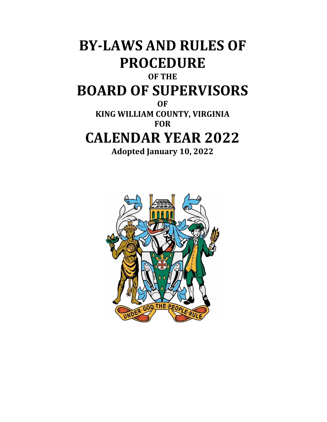# **BY-LAWS AND RULES OF PROCEDURE OF THE BOARD OF SUPERVISORS OF KING WILLIAM COUNTY, VIRGINIA FOR CALENDAR YEAR 2022 Adopted January 10, 2022**

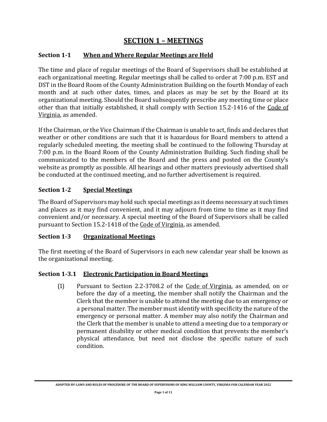# **SECTION 1 – MEETINGS**

#### **Section 1-1 When and Where Regular Meetings are Held**

The time and place of regular meetings of the Board of Supervisors shall be established at each organizational meeting. Regular meetings shall be called to order at 7:00 p.m. EST and DST in the Board Room of the County Administration Building on the fourth Monday of each month and at such other dates, times, and places as may be set by the Board at its organizational meeting. Should the Board subsequently prescribe any meeting time or place other than that initially established, it shall comply with Section 15.2-1416 of the Code of Virginia, as amended.

If the Chairman, or the Vice Chairman if the Chairman is unable to act, finds and declares that weather or other conditions are such that it is hazardous for Board members to attend a regularly scheduled meeting, the meeting shall be continued to the following Thursday at 7:00 p.m. in the Board Room of the County Administration Building. Such finding shall be communicated to the members of the Board and the press and posted on the County's website as promptly as possible. All hearings and other matters previously advertised shall be conducted at the continued meeting, and no further advertisement is required.

#### **Section 1-2 Special Meetings**

The Board of Supervisors may hold such special meetings as it deems necessary at such times and places as it may find convenient, and it may adjourn from time to time as it may find convenient and/or necessary. A special meeting of the Board of Supervisors shall be called pursuant to Section 15.2-1418 of the Code of Virginia, as amended.

#### **Section 1-3 Organizational Meetings**

The first meeting of the Board of Supervisors in each new calendar year shall be known as the organizational meeting.

#### **Section 1-3.1 Electronic Participation in Board Meetings**

(1) Pursuant to Section 2.2-3708.2 of the Code of Virginia, as amended, on or before the day of a meeting, the member shall notify the Chairman and the Clerk that the member is unable to attend the meeting due to an emergency or a personal matter. The member must identify with specificity the nature of the emergency or personal matter. A member may also notify the Chairman and the Clerk that the member is unable to attend a meeting due to a temporary or permanent disability or other medical condition that prevents the member's physical attendance, but need not disclose the specific nature of such condition.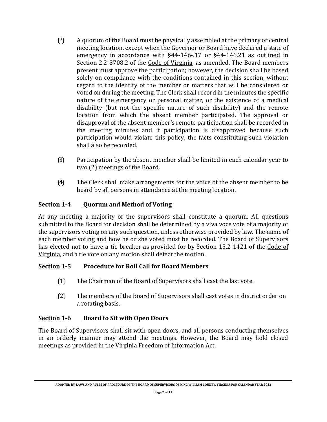- (2) A quorum of the Board must be physically assembled at the primary or central meeting location, except when the Governor or Board have declared a state of emergency in accordance with §44-146-.17 or §44-146.21 as outlined in Section 2.2-3708.2 of the Code of Virginia, as amended. The Board members present must approve the participation; however, the decision shall be based solely on compliance with the conditions contained in this section, without regard to the identity of the member or matters that will be considered or voted on during the meeting. The Clerk shall record in the minutes the specific nature of the emergency or personal matter, or the existence of a medical disability (but not the specific nature of such disability) and the remote location from which the absent member participated. The approval or disapproval of the absent member's remote participation shall be recorded in the meeting minutes and if participation is disapproved because such participation would violate this policy, the facts constituting such violation shall also be recorded.
- (3) Participation by the absent member shall be limited in each calendar year to two (2) meetings of the Board.
- (4) The Clerk shall make arrangements for the voice of the absent member to be heard by all persons in attendance at the meeting location.

# **Section 1-4 Quorum and Method of Voting**

At any meeting a majority of the supervisors shall constitute a quorum. All questions submitted to the Board for decision shall be determined by a viva voce vote of a majority of the supervisors voting on any such question, unless otherwise provided by law. The name of each member voting and how he or she voted must be recorded. The Board of Supervisors has elected not to have a tie breaker as provided for by Section 15.2-1421 of the Code of Virginia, and a tie vote on any motion shall defeat the motion.

#### **Section 1-5 Procedure for Roll Call for Board Members**

- (1) The Chairman of the Board of Supervisors shall cast the last vote.
- (2) The members of the Board of Supervisors shall cast votes in district order on a rotating basis.

# **Section 1-6 Board to Sit with Open Doors**

The Board of Supervisors shall sit with open doors, and all persons conducting themselves in an orderly manner may attend the meetings. However, the Board may hold closed meetings as provided in the Virginia Freedom of Information Act.

**ADOPTED BY-LAWS AND RULES OF PROCEDURE OF THE BOARD OF SUPERVISORS OF KING WILLIAM COUNTY, VIRGINIA FOR CALENDAR YEAR 2022**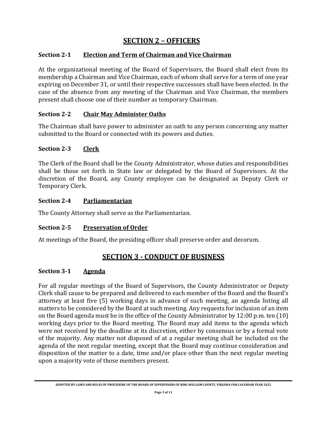# **SECTION 2 – OFFICERS**

# **Section 2-1 Election and Term of Chairman and Vice Chairman**

At the organizational meeting of the Board of Supervisors, the Board shall elect from its membership a Chairman and Vice Chairman, each of whom shall serve for a term of one year expiring on December 31, or until their respective successors shall have been elected. In the case of the absence from any meeting of the Chairman and Vice Chairman, the members present shall choose one of their number as temporary Chairman.

# **Section 2-2 Chair May Administer Oaths**

The Chairman shall have power to administer an oath to any person concerning any matter submitted to the Board or connected with its powers and duties.

# **Section 2-3 Clerk**

The Clerk of the Board shall be the County Administrator, whose duties and responsibilities shall be those set forth in State law or delegated by the Board of Supervisors. At the discretion of the Board, any County employee can be designated as Deputy Clerk or Temporary Clerk.

# **Section 2-4 Parliamentarian**

The County Attorney shall serve as the Parliamentarian.

# **Section 2-5 Preservation of Order**

At meetings of the Board, the presiding officer shall preserve order and decorum.

# **SECTION 3 - CONDUCT OF BUSINESS**

#### **Section 3-1 Agenda**

For all regular meetings of the Board of Supervisors, the County Administrator or Deputy Clerk shall cause to be prepared and delivered to each member of the Board and the Board's attorney at least five (5) working days in advance of such meeting, an agenda listing all matters to be considered by the Board at such meeting. Any requests for inclusion of an item on the Board agenda must be in the office of the County Administrator by 12:00 p.m. ten (10) working days prior to the Board meeting. The Board may add items to the agenda which were not received by the deadline at its discretion, either by consensus or by a formal vote of the majority. Any matter not disposed of at a regular meeting shall be included on the agenda of the next regular meeting, except that the Board may continue consideration and disposition of the matter to a date, time and/or place other than the next regular meeting upon a majority vote of those members present.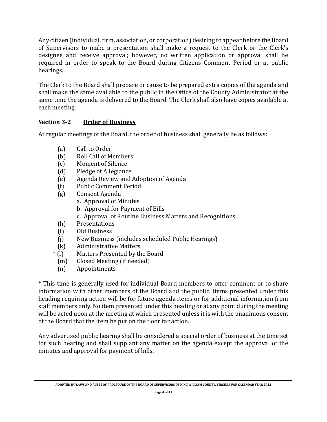Any citizen (individual, firm, association, or corporation) desiring to appear before the Board of Supervisors to make a presentation shall make a request to the Clerk or the Clerk's designee and receive approval; however, no written application or approval shall be required in order to speak to the Board during Citizens Comment Period or at public hearings.

The Clerk to the Board shall prepare or cause to be prepared extra copies of the agenda and shall make the same available to the public in the Office of the County Administrator at the same time the agenda is delivered to the Board. The Clerk shall also have copies available at each meeting.

# **Section 3-2 Order of Business**

At regular meetings of the Board, the order of business shall generally be as follows:

- (a) Call to Order
- (b) Roll Call of Members
- (c) Moment of Silence
- (d) Pledge of Allegiance
- (e) Agenda Review and Adoption of Agenda
- (f) Public Comment Period
- (g) Consent Agenda
	- a. Approval of Minutes
	- b. Approval for Payment of Bills
	- c. Approval of Routine Business Matters and Recognitions
- (h) Presentations
- (i) Old Business
- (j) New Business (includes scheduled Public Hearings)
- (k) Administrative Matters
- \* (l) Matters Presented by the Board
	- (m) Closed Meeting (if needed)
	- (n) Appointments

\* This time is generally used for individual Board members to offer comment or to share information with other members of the Board and the public. Items presented under this heading requiring action will be for future agenda items or for additional information from staff members only. No item presented under this heading or at any point during the meeting will be acted upon at the meeting at which presented unless it is with the unanimous consent of the Board that the item be put on the floor for action.

Any advertised public hearing shall be considered a special order of business at the time set for such hearing and shall supplant any matter on the agenda except the approval of the minutes and approval for payment of bills.

**ADOPTED BY-LAWS AND RULES OF PROCEDURE OF THE BOARD OF SUPERVISORS OF KING WILLIAM COUNTY, VIRGINIA FOR CALENDAR YEAR 2022**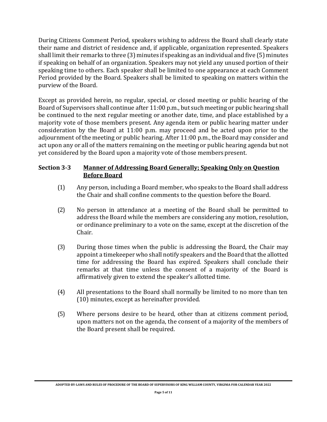During Citizens Comment Period, speakers wishing to address the Board shall clearly state their name and district of residence and, if applicable, organization represented. Speakers shall limit their remarks to three (3) minutes if speaking as an individual and five (5) minutes if speaking on behalf of an organization. Speakers may not yield any unused portion of their speaking time to others. Each speaker shall be limited to one appearance at each Comment Period provided by the Board. Speakers shall be limited to speaking on matters within the purview of the Board.

Except as provided herein, no regular, special, or closed meeting or public hearing of the Board of Supervisors shall continue after 11:00 p.m., but such meeting or public hearing shall be continued to the next regular meeting or another date, time, and place established by a majority vote of those members present. Any agenda item or public hearing matter under consideration by the Board at 11:00 p.m. may proceed and be acted upon prior to the adjournment of the meeting or public hearing. After 11:00 p.m., the Board may consider and act upon any or all of the matters remaining on the meeting or public hearing agenda but not yet considered by the Board upon a majority vote of those members present.

#### **Section 3-3 Manner of Addressing Board Generally; Speaking Only on Question Before Board**

- (1) Any person, including a Board member, who speaks to the Board shall address the Chair and shall confine comments to the question before the Board.
- (2) No person in attendance at a meeting of the Board shall be permitted to address the Board while the members are considering any motion, resolution, or ordinance preliminary to a vote on the same, except at the discretion of the Chair.
- (3) During those times when the public is addressing the Board, the Chair may appoint a timekeeper who shall notify speakers and the Board that the allotted time for addressing the Board has expired. Speakers shall conclude their remarks at that time unless the consent of a majority of the Board is affirmatively given to extend the speaker's allotted time.
- (4) All presentations to the Board shall normally be limited to no more than ten (10) minutes, except as hereinafter provided.
- (5) Where persons desire to be heard, other than at citizens comment period, upon matters not on the agenda, the consent of a majority of the members of the Board present shall be required.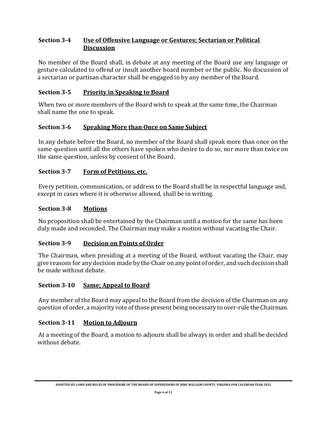## **Section 3-4 Use of Offensive Language or Gestures; Sectarian or Political Discussion**

No member of the Board shall, in debate at any meeting of the Board use any language or gesture calculated to offend or insult another board member or the public. No discussion of a sectarian or partisan character shall be engaged in by any member of the Board.

# **Section 3-5 Priority in Speaking to Board**

When two or more members of the Board wish to speak at the same time, the Chairman shall name the one to speak.

# **Section 3-6 Speaking More than Once on Same Subject**

In any debate before the Board, no member of the Board shall speak more than once on the same question until all the others have spoken who desire to do so, nor more than twice on the same question, unless by consent of the Board.

#### **Section 3-7 Form of Petitions, etc.**

Every petition, communication, or address to the Board shall be in respectful language and, except in cases where it is otherwise allowed, shall be in writing.

#### **Section 3-8 Motions**

No proposition shall be entertained by the Chairman until a motion for the same has been duly made and seconded. The Chairman may make a motion without vacating the Chair.

#### **Section 3-9 Decision on Points of Order**

The Chairman, when presiding at a meeting of the Board, without vacating the Chair, may give reasons for any decision made by the Chair on any point of order, and such decision shall be made without debate.

#### **Section 3-10 Same; Appeal to Board**

Any member of the Board may appeal to the Board from the decision of the Chairman on any question of order, a majority vote of those present being necessary to over-rule the Chairman.

#### **Section 3-11 Motion to Adjourn**

At a meeting of the Board, a motion to adjourn shall be always in order and shall be decided without debate.

**ADOPTED BY-LAWS AND RULES OF PROCEDURE OF THE BOARD OF SUPERVISORS OF KING WILLIAM COUNTY, VIRGINIA FOR CALENDAR YEAR 2022**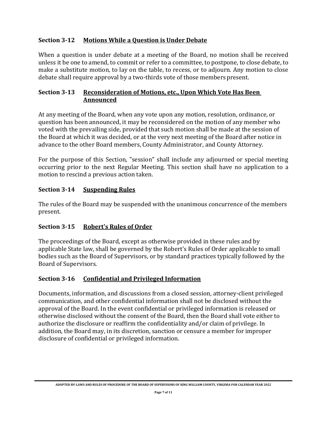#### **Section 3-12 Motions While a Question is Under Debate**

When a question is under debate at a meeting of the Board, no motion shall be received unless it be one to amend, to commit or refer to a committee, to postpone, to close debate, to make a substitute motion, to lay on the table, to recess, or to adjourn. Any motion to close debate shall require approval by a two-thirds vote of those members present.

#### **Section 3-13 Reconsideration of Motions, etc., Upon Which Vote Has Been Announced**

At any meeting of the Board, when any vote upon any motion, resolution, ordinance, or question has been announced, it may be reconsidered on the motion of any member who voted with the prevailing side, provided that such motion shall be made at the session of the Board at which it was decided, or at the very next meeting of the Board after notice in advance to the other Board members, County Administrator, and County Attorney.

For the purpose of this Section, "session" shall include any adjourned or special meeting occurring prior to the next Regular Meeting. This section shall have no application to a motion to rescind a previous action taken.

#### **Section 3-14 Suspending Rules**

The rules of the Board may be suspended with the unanimous concurrence of the members present.

# **Section 3-15 Robert's Rules of Order**

The proceedings of the Board, except as otherwise provided in these rules and by applicable State law, shall be governed by the Robert's Rules of Order applicable to small bodies such as the Board of Supervisors, or by standard practices typically followed by the Board of Supervisors.

# **Section 3-16 Confidential and Privileged Information**

Documents, information, and discussions from a closed session, attorney-client privileged communication, and other confidential information shall not be disclosed without the approval of the Board. In the event confidential or privileged information is released or otherwise disclosed without the consent of the Board, then the Board shall vote either to authorize the disclosure or reaffirm the confidentiality and/or claim of privilege. In addition, the Board may, in its discretion, sanction or censure a member for improper disclosure of confidential or privileged information.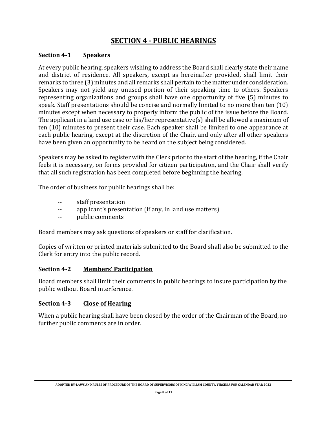# **SECTION 4 - PUBLIC HEARINGS**

#### **Section 4-1 Speakers**

At every public hearing, speakers wishing to address the Board shall clearly state their name and district of residence. All speakers, except as hereinafter provided, shall limit their remarks to three (3) minutes and all remarks shall pertain to the matter under consideration. Speakers may not yield any unused portion of their speaking time to others. Speakers representing organizations and groups shall have one opportunity of five (5) minutes to speak. Staff presentations should be concise and normally limited to no more than ten (10) minutes except when necessary to properly inform the public of the issue before the Board. The applicant in a land use case or his/her representative(s) shall be allowed a maximum of ten (10) minutes to present their case. Each speaker shall be limited to one appearance at each public hearing, except at the discretion of the Chair, and only after all other speakers have been given an opportunity to be heard on the subject being considered.

Speakers may be asked to register with the Clerk prior to the start of the hearing, if the Chair feels it is necessary, on forms provided for citizen participation, and the Chair shall verify that all such registration has been completed before beginning the hearing.

The order of business for public hearings shall be:

- -- staff presentation
- -- applicant's presentation (if any, in land use matters)
- -- public comments

Board members may ask questions of speakers or staff for clarification.

Copies of written or printed materials submitted to the Board shall also be submitted to the Clerk for entry into the public record.

#### **Section 4-2 Members' Participation**

Board members shall limit their comments in public hearings to insure participation by the public without Board interference.

#### **Section 4-3 Close of Hearing**

When a public hearing shall have been closed by the order of the Chairman of the Board, no further public comments are in order.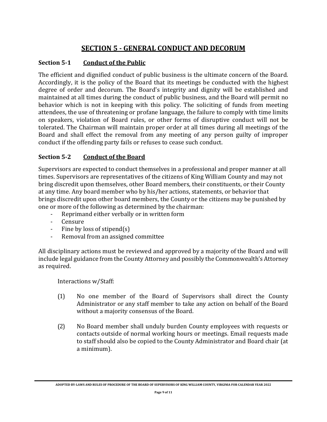# **SECTION 5 - GENERAL CONDUCT AND DECORUM**

# **Section 5-1 Conduct of the Public**

The efficient and dignified conduct of public business is the ultimate concern of the Board. Accordingly, it is the policy of the Board that its meetings be conducted with the highest degree of order and decorum. The Board's integrity and dignity will be established and maintained at all times during the conduct of public business, and the Board will permit no behavior which is not in keeping with this policy. The soliciting of funds from meeting attendees, the use of threatening or profane language, the failure to comply with time limits on speakers, violation of Board rules, or other forms of disruptive conduct will not be tolerated. The Chairman will maintain proper order at all times during all meetings of the Board and shall effect the removal from any meeting of any person guilty of improper conduct if the offending party fails or refuses to cease such conduct.

# **Section 5-2 Conduct of the Board**

Supervisors are expected to conduct themselves in a professional and proper manner at all times. Supervisors are representatives of the citizens of King William County and may not bring discredit upon themselves, other Board members, their constituents, or their County at any time. Any board member who by his/her actions, statements, or behavior that brings discredit upon other board members, the County or the citizens may be punished by one or more of the following as determined by the chairman:

- Reprimand either verbally or in written form
- Censure
- Fine by loss of stipend(s)
- Removal from an assigned committee

All disciplinary actions must be reviewed and approved by a majority of the Board and will include legal guidance from the County Attorney and possibly the Commonwealth's Attorney as required.

Interactions w/Staff:

- (1) No one member of the Board of Supervisors shall direct the County Administrator or any staff member to take any action on behalf of the Board without a majority consensus of the Board.
- (2) No Board member shall unduly burden County employees with requests or contacts outside of normal working hours or meetings. Email requests made to staff should also be copied to the County Administrator and Board chair (at a minimum).

**ADOPTED BY-LAWS AND RULES OF PROCEDURE OF THE BOARD OF SUPERVISORS OF KING WILLIAM COUNTY, VIRGINIA FOR CALENDAR YEAR 2022**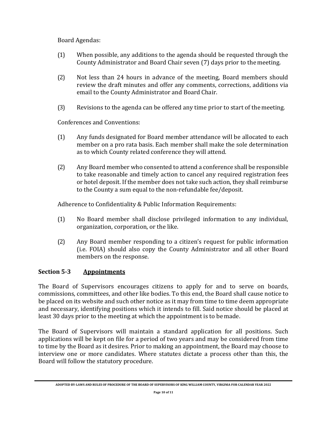Board Agendas:

- (1) When possible, any additions to the agenda should be requested through the County Administrator and Board Chair seven (7) days prior to themeeting.
- (2) Not less than 24 hours in advance of the meeting, Board members should review the draft minutes and offer any comments, corrections, additions via email to the County Administrator and Board Chair.
- (3) Revisions to the agenda can be offered any time prior to start of themeeting.

Conferences and Conventions:

- (1) Any funds designated for Board member attendance will be allocated to each member on a pro rata basis. Each member shall make the sole determination as to which County related conference they will attend.
- (2) Any Board member who consented to attend a conference shall be responsible to take reasonable and timely action to cancel any required registration fees or hotel deposit. If the member does not take such action, they shall reimburse to the County a sum equal to the non-refundable fee/deposit.

Adherence to Confidentiality & Public Information Requirements:

- (1) No Board member shall disclose privileged information to any individual, organization, corporation, or the like.
- (2) Any Board member responding to a citizen's request for public information (i.e. FOIA) should also copy the County Administrator and all other Board members on the response.

# **Section 5-3 Appointments**

The Board of Supervisors encourages citizens to apply for and to serve on boards, commissions, committees, and other like bodies. To this end, the Board shall cause notice to be placed on its website and such other notice as it may from time to time deem appropriate and necessary, identifying positions which it intends to fill. Said notice should be placed at least 30 days prior to the meeting at which the appointment is to be made.

The Board of Supervisors will maintain a standard application for all positions. Such applications will be kept on file for a period of two years and may be considered from time to time by the Board as it desires. Prior to making an appointment, the Board may choose to interview one or more candidates. Where statutes dictate a process other than this, the Board will follow the statutory procedure.

**ADOPTED BY-LAWS AND RULES OF PROCEDURE OF THE BOARD OF SUPERVISORS OF KING WILLIAM COUNTY, VIRGINIA FOR CALENDAR YEAR 2022**